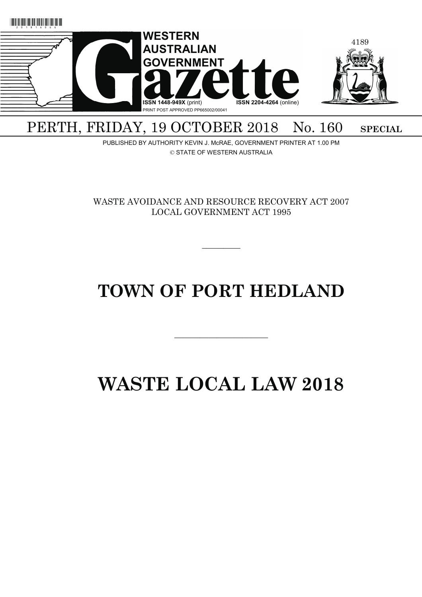

### PERTH, FRIDAY, 19 OCTOBER 2018 No. 160 SPECIAL

PUBLISHED BY AUTHORITY KEVIN J. McRAE, GOVERNMENT PRINTER AT 1.00 PM © STATE OF WESTERN AUSTRALIA

WASTE AVOIDANCE AND RESOURCE RECOVERY ACT 2007 LOCAL GOVERNMENT ACT 1995

 $\overline{\phantom{a}}$ 

## **TOWN OF PORT HEDLAND**

———————————

# **WASTE LOCAL LAW 2018**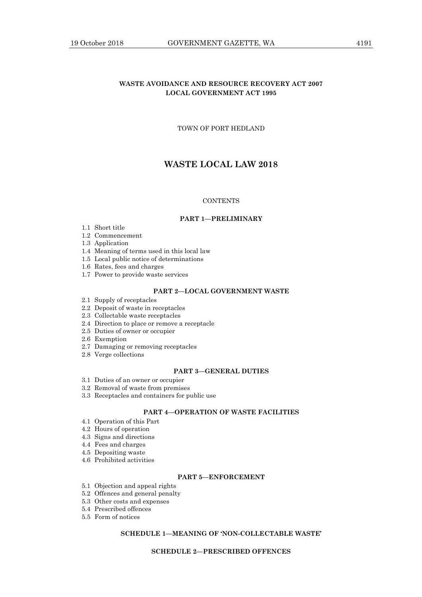#### **WASTE AVOIDANCE AND RESOURCE RECOVERY ACT 2007 LOCAL GOVERNMENT ACT 1995**

#### TOWN OF PORT HEDLAND

#### **WASTE LOCAL LAW 2018**

#### **CONTENTS**

#### **PART 1—PRELIMINARY**

- 1.1 Short title
- 1.2 Commencement
- 1.3 Application
- 1.4 Meaning of terms used in this local law
- 1.5 Local public notice of determinations
- 1.6 Rates, fees and charges
- 1.7 Power to provide waste services

#### **PART 2—LOCAL GOVERNMENT WASTE**

- 2.1 Supply of receptacles
- 2.2 Deposit of waste in receptacles
- 2.3 Collectable waste receptacles
- 2.4 Direction to place or remove a receptacle
- 2.5 Duties of owner or occupier
- 2.6 Exemption
- 2.7 Damaging or removing receptacles
- 2.8 Verge collections

#### **PART 3—GENERAL DUTIES**

- 3.1 Duties of an owner or occupier
- 3.2 Removal of waste from premises
- 3.3 Receptacles and containers for public use

#### **PART 4—OPERATION OF WASTE FACILITIES**

- 4.1 Operation of this Part
- 4.2 Hours of operation
- 4.3 Signs and directions
- 4.4 Fees and charges
- 4.5 Depositing waste
- 4.6 Prohibited activities

#### **PART 5—ENFORCEMENT**

- 5.1 Objection and appeal rights
- 5.2 Offences and general penalty
- 5.3 Other costs and expenses
- 5.4 Prescribed offences
- 5.5 Form of notices

#### **SCHEDULE 1—MEANING OF 'NON-COLLECTABLE WASTE'**

#### **SCHEDULE 2—PRESCRIBED OFFENCES**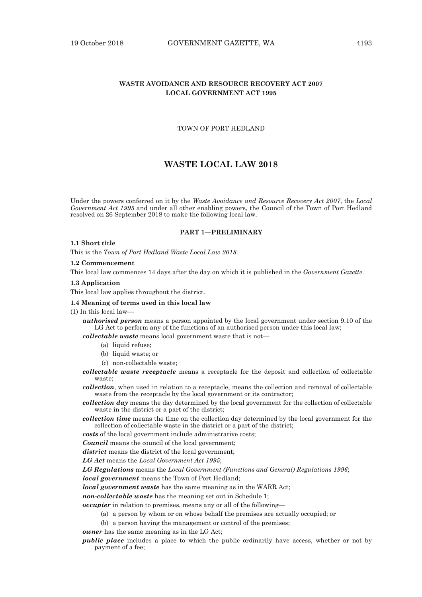#### **WASTE AVOIDANCE AND RESOURCE RECOVERY ACT 2007 LOCAL GOVERNMENT ACT 1995**

#### TOWN OF PORT HEDLAND

#### **WASTE LOCAL LAW 2018**

Under the powers conferred on it by the *Waste Avoidance and Resource Recovery Act 2007*, the *Local Government Act 1995* and under all other enabling powers, the Council of the Town of Port Hedland resolved on 26 September 2018 to make the following local law.

#### **PART 1—PRELIMINARY**

#### **1.1 Short title**

This is the *Town of Port Hedland Waste Local Law 2018*.

#### **1.2 Commencement**

This local law commences 14 days after the day on which it is published in the *Government Gazette*.

#### **1.3 Application**

This local law applies throughout the district.

#### **1.4 Meaning of terms used in this local law**

(1) In this local law—

*authorised person* means a person appointed by the local government under section 9.10 of the LG Act to perform any of the functions of an authorised person under this local law;

*collectable waste* means local government waste that is not—

- (a) liquid refuse;
	- (b) liquid waste; or
	- (c) non-collectable waste;
- *collectable waste receptacle* means a receptacle for the deposit and collection of collectable waste;

*collection*, when used in relation to a receptacle, means the collection and removal of collectable waste from the receptacle by the local government or its contractor:

*collection day* means the day determined by the local government for the collection of collectable waste in the district or a part of the district;

*collection time* means the time on the collection day determined by the local government for the collection of collectable waste in the district or a part of the district;

*costs* of the local government include administrative costs;

*Council* means the council of the local government;

*district* means the district of the local government;

*LG Act* means the *Local Government Act 1995*;

*LG Regulations* means the *Local Government (Functions and General) Regulations 1996*;

*local government* means the Town of Port Hedland;

*local government waste* has the same meaning as in the WARR Act;

*non-collectable waste* has the meaning set out in Schedule 1;

*occupier* in relation to premises, means any or all of the following—

(a) a person by whom or on whose behalf the premises are actually occupied; or

(b) a person having the management or control of the premises;

*owner* has the same meaning as in the LG Act;

*public place* includes a place to which the public ordinarily have access, whether or not by payment of a fee;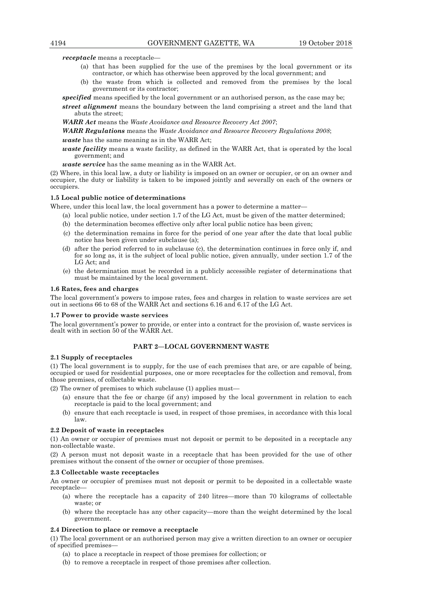*receptacle* means a receptacle—

- (a) that has been supplied for the use of the premises by the local government or its contractor, or which has otherwise been approved by the local government; and
- (b) the waste from which is collected and removed from the premises by the local government or its contractor;

*specified* means specified by the local government or an authorised person, as the case may be; *street alignment* means the boundary between the land comprising a street and the land that abuts the street;

*WARR Act* means the *Waste Avoidance and Resource Recovery Act 2007*;

*WARR Regulations* means the *Waste Avoidance and Resource Recovery Regulations 2008*;

*waste* has the same meaning as in the WARR Act;

*waste facility* means a waste facility, as defined in the WARR Act, that is operated by the local government; and

*waste service* has the same meaning as in the WARR Act.

(2) Where, in this local law, a duty or liability is imposed on an owner or occupier, or on an owner and occupier, the duty or liability is taken to be imposed jointly and severally on each of the owners or occupiers.

#### **1.5 Local public notice of determinations**

Where, under this local law, the local government has a power to determine a matter—

- (a) local public notice, under section 1.7 of the LG Act, must be given of the matter determined;
- (b) the determination becomes effective only after local public notice has been given;
- (c) the determination remains in force for the period of one year after the date that local public notice has been given under subclause (a);
- (d) after the period referred to in subclause (c), the determination continues in force only if, and for so long as, it is the subject of local public notice, given annually, under section 1.7 of the LG Act; and
- (e) the determination must be recorded in a publicly accessible register of determinations that must be maintained by the local government.

#### **1.6 Rates, fees and charges**

The local government's powers to impose rates, fees and charges in relation to waste services are set out in sections 66 to 68 of the WARR Act and sections 6.16 and 6.17 of the LG Act.

#### **1.7 Power to provide waste services**

The local government's power to provide, or enter into a contract for the provision of, waste services is dealt with in section 50 of the WARR Act.

#### **PART 2—LOCAL GOVERNMENT WASTE**

#### **2.1 Supply of receptacles**

(1) The local government is to supply, for the use of each premises that are, or are capable of being, occupied or used for residential purposes, one or more receptacles for the collection and removal, from those premises, of collectable waste.

(2) The owner of premises to which subclause (1) applies must—

- (a) ensure that the fee or charge (if any) imposed by the local government in relation to each receptacle is paid to the local government; and
- (b) ensure that each receptacle is used, in respect of those premises, in accordance with this local law.

#### **2.2 Deposit of waste in receptacles**

(1) An owner or occupier of premises must not deposit or permit to be deposited in a receptacle any non-collectable waste.

(2) A person must not deposit waste in a receptacle that has been provided for the use of other premises without the consent of the owner or occupier of those premises.

#### **2.3 Collectable waste receptacles**

An owner or occupier of premises must not deposit or permit to be deposited in a collectable waste receptacle—

- (a) where the receptacle has a capacity of 240 litres—more than 70 kilograms of collectable waste; or
- (b) where the receptacle has any other capacity—more than the weight determined by the local government.

#### **2.4 Direction to place or remove a receptacle**

(1) The local government or an authorised person may give a written direction to an owner or occupier of specified premises—

- (a) to place a receptacle in respect of those premises for collection; or
- (b) to remove a receptacle in respect of those premises after collection.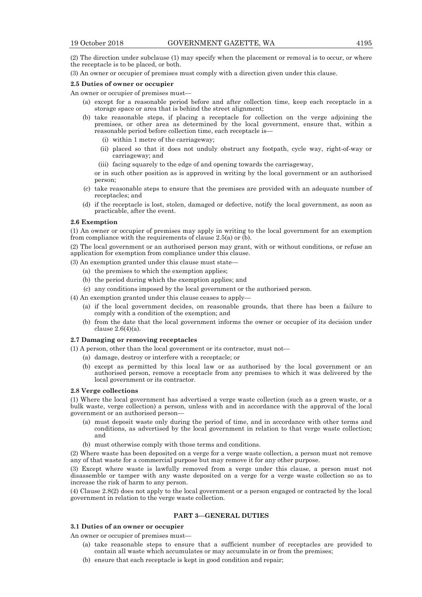(2) The direction under subclause (1) may specify when the placement or removal is to occur, or where the receptacle is to be placed, or both.

(3) An owner or occupier of premises must comply with a direction given under this clause.

#### **2.5 Duties of owner or occupier**

An owner or occupier of premises must—

- (a) except for a reasonable period before and after collection time, keep each receptacle in a storage space or area that is behind the street alignment;
- (b) take reasonable steps, if placing a receptacle for collection on the verge adjoining the premises, or other area as determined by the local government, ensure that, within a reasonable period before collection time, each receptacle is—
	- (i) within 1 metre of the carriageway;
	- (ii) placed so that it does not unduly obstruct any footpath, cycle way, right-of-way or carriageway; and
	- (iii) facing squarely to the edge of and opening towards the carriageway,

or in such other position as is approved in writing by the local government or an authorised person;

- (c) take reasonable steps to ensure that the premises are provided with an adequate number of receptacles; and
- (d) if the receptacle is lost, stolen, damaged or defective, notify the local government, as soon as practicable, after the event.

#### **2.6 Exemption**

(1) An owner or occupier of premises may apply in writing to the local government for an exemption from compliance with the requirements of clause 2.5(a) or (b).

(2) The local government or an authorised person may grant, with or without conditions, or refuse an application for exemption from compliance under this clause.

(3) An exemption granted under this clause must state—

- (a) the premises to which the exemption applies;
- (b) the period during which the exemption applies; and
- (c) any conditions imposed by the local government or the authorised person.
- (4) An exemption granted under this clause ceases to apply—
	- (a) if the local government decides, on reasonable grounds, that there has been a failure to comply with a condition of the exemption; and
	- (b) from the date that the local government informs the owner or occupier of its decision under clause 2.6(4)(a).

#### **2.7 Damaging or removing receptacles**

(1) A person, other than the local government or its contractor, must not—

- (a) damage, destroy or interfere with a receptacle; or
- (b) except as permitted by this local law or as authorised by the local government or an authorised person, remove a receptacle from any premises to which it was delivered by the local government or its contractor.

#### **2.8 Verge collections**

(1) Where the local government has advertised a verge waste collection (such as a green waste, or a bulk waste, verge collection) a person, unless with and in accordance with the approval of the local government or an authorised person—

- (a) must deposit waste only during the period of time, and in accordance with other terms and conditions, as advertised by the local government in relation to that verge waste collection; and
- (b) must otherwise comply with those terms and conditions.

(2) Where waste has been deposited on a verge for a verge waste collection, a person must not remove any of that waste for a commercial purpose but may remove it for any other purpose.

(3) Except where waste is lawfully removed from a verge under this clause, a person must not disassemble or tamper with any waste deposited on a verge for a verge waste collection so as to increase the risk of harm to any person.

(4) Clause 2.8(2) does not apply to the local government or a person engaged or contracted by the local government in relation to the verge waste collection.

#### **PART 3—GENERAL DUTIES**

#### **3.1 Duties of an owner or occupier**

An owner or occupier of premises must—

- (a) take reasonable steps to ensure that a sufficient number of receptacles are provided to contain all waste which accumulates or may accumulate in or from the premises;
- (b) ensure that each receptacle is kept in good condition and repair;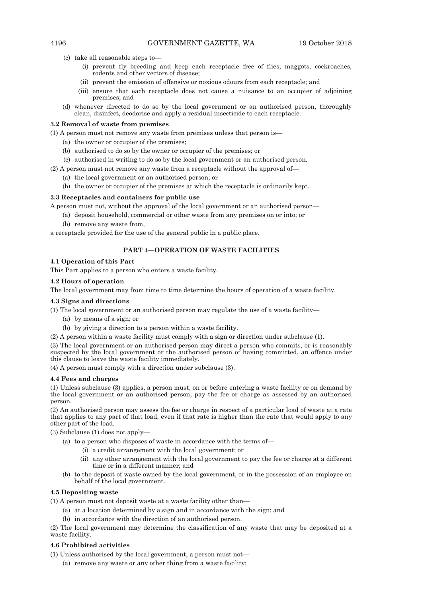(c) take all reasonable steps to—

- (i) prevent fly breeding and keep each receptacle free of flies, maggots, cockroaches, rodents and other vectors of disease;
- (ii) prevent the emission of offensive or noxious odours from each receptacle; and
- (iii) ensure that each receptacle does not cause a nuisance to an occupier of adjoining premises; and
- (d) whenever directed to do so by the local government or an authorised person, thoroughly clean, disinfect, deodorise and apply a residual insecticide to each receptacle.

#### **3.2 Removal of waste from premises**

(1) A person must not remove any waste from premises unless that person is—

- (a) the owner or occupier of the premises;
- (b) authorised to do so by the owner or occupier of the premises; or
- (c) authorised in writing to do so by the local government or an authorised person.

(2) A person must not remove any waste from a receptacle without the approval of—

- (a) the local government or an authorised person; or
- (b) the owner or occupier of the premises at which the receptacle is ordinarily kept.

#### **3.3 Receptacles and containers for public use**

A person must not, without the approval of the local government or an authorised person—

 (a) deposit household, commercial or other waste from any premises on or into; or (b) remove any waste from,

a receptacle provided for the use of the general public in a public place.

#### **PART 4—OPERATION OF WASTE FACILITIES**

#### **4.1 Operation of this Part**

This Part applies to a person who enters a waste facility.

#### **4.2 Hours of operation**

The local government may from time to time determine the hours of operation of a waste facility.

#### **4.3 Signs and directions**

(1) The local government or an authorised person may regulate the use of a waste facility—

- (a) by means of a sign; or
- (b) by giving a direction to a person within a waste facility.
- (2) A person within a waste facility must comply with a sign or direction under subclause (1).

(3) The local government or an authorised person may direct a person who commits, or is reasonably suspected by the local government or the authorised person of having committed, an offence under this clause to leave the waste facility immediately.

(4) A person must comply with a direction under subclause (3).

#### **4.4 Fees and charges**

(1) Unless subclause (3) applies, a person must, on or before entering a waste facility or on demand by the local government or an authorised person, pay the fee or charge as assessed by an authorised person.

(2) An authorised person may assess the fee or charge in respect of a particular load of waste at a rate that applies to any part of that load, even if that rate is higher than the rate that would apply to any other part of the load.

(3) Subclause (1) does not apply—

- (a) to a person who disposes of waste in accordance with the terms of—
	- (i) a credit arrangement with the local government; or
	- (ii) any other arrangement with the local government to pay the fee or charge at a different time or in a different manner; and
- (b) to the deposit of waste owned by the local government, or in the possession of an employee on behalf of the local government.

#### **4.5 Depositing waste**

(1) A person must not deposit waste at a waste facility other than—

- (a) at a location determined by a sign and in accordance with the sign; and
- (b) in accordance with the direction of an authorised person.

(2) The local government may determine the classification of any waste that may be deposited at a waste facility.

#### **4.6 Prohibited activities**

(1) Unless authorised by the local government, a person must not—

(a) remove any waste or any other thing from a waste facility;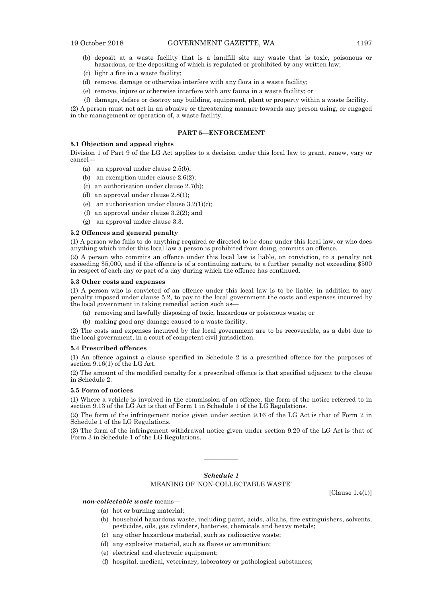- (b) deposit at a waste facility that is a landfill site any waste that is toxic, poisonous or hazardous, or the depositing of which is regulated or prohibited by any written law;
- (c) light a fire in a waste facility;
- (d) remove, damage or otherwise interfere with any flora in a waste facility;
- (e) remove, injure or otherwise interfere with any fauna in a waste facility; or
- (f) damage, deface or destroy any building, equipment, plant or property within a waste facility.

(2) A person must not act in an abusive or threatening manner towards any person using, or engaged in the management or operation of, a waste facility.

#### **PART 5—ENFORCEMENT**

#### **5.1 Objection and appeal rights**

Division 1 of Part 9 of the LG Act applies to a decision under this local law to grant, renew, vary or cancel—

- (a) an approval under clause 2.5(b);
- (b) an exemption under clause 2.6(2);
- (c) an authorisation under clause 2.7(b);
- (d) an approval under clause 2.8(1);
- (e) an authorisation under clause  $3.2(1)(c)$ ;
- (f) an approval under clause 3.2(2); and
- (g) an approval under clause 3.3.

#### **5.2 Offences and general penalty**

(1) A person who fails to do anything required or directed to be done under this local law, or who does anything which under this local law a person is prohibited from doing, commits an offence.

(2) A person who commits an offence under this local law is liable, on conviction, to a penalty not exceeding \$5,000, and if the offence is of a continuing nature, to a further penalty not exceeding \$500 in respect of each day or part of a day during which the offence has continued.

#### **5.3 Other costs and expenses**

(1) A person who is convicted of an offence under this local law is to be liable, in addition to any penalty imposed under clause 5.2, to pay to the local government the costs and expenses incurred by the local government in taking remedial action such as—

- (a) removing and lawfully disposing of toxic, hazardous or poisonous waste; or
- (b) making good any damage caused to a waste facility.

(2) The costs and expenses incurred by the local government are to be recoverable, as a debt due to the local government, in a court of competent civil jurisdiction.

#### **5.4 Prescribed offences**

(1) An offence against a clause specified in Schedule 2 is a prescribed offence for the purposes of section 9.16(1) of the LG Act.

(2) The amount of the modified penalty for a prescribed offence is that specified adjacent to the clause in Schedule 2.

#### **5.5 Form of notices**

(1) Where a vehicle is involved in the commission of an offence, the form of the notice referred to in section 9.13 of the LG Act is that of Form 1 in Schedule 1 of the LG Regulations.

(2) The form of the infringement notice given under section 9.16 of the LG Act is that of Form 2 in Schedule 1 of the LG Regulations.

(3) The form of the infringement withdrawal notice given under section 9.20 of the LG Act is that of Form 3 in Schedule 1 of the LG Regulations.

#### *Schedule 1*  MEANING OF 'NON-COLLECTABLE WASTE'

————

*non-collectable waste* means—

- (a) hot or burning material;
- (b) household hazardous waste, including paint, acids, alkalis, fire extinguishers, solvents, pesticides, oils, gas cylinders, batteries, chemicals and heavy metals;
- (c) any other hazardous material, such as radioactive waste;
- (d) any explosive material, such as flares or ammunition;
- (e) electrical and electronic equipment;
- (f) hospital, medical, veterinary, laboratory or pathological substances;

[Clause 1.4(1)]